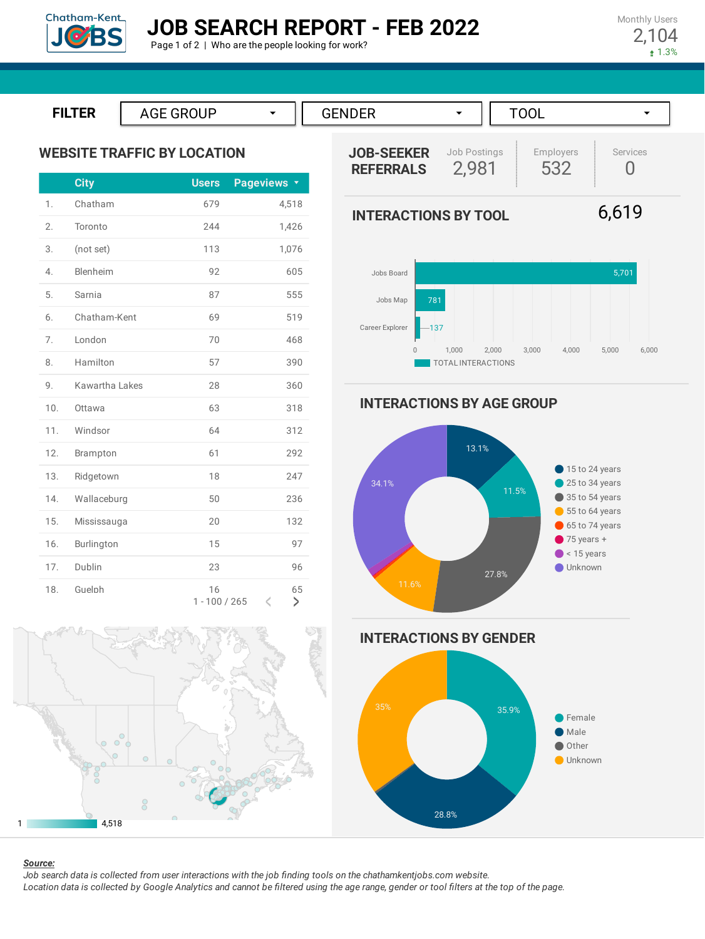

Monthly Users 2,104  $1.3%$ 





**WEBSITE TRAFFIC BY LOCATION**

|     | <b>City</b>    | <b>Users</b>          | Pageviews <b>v</b>    |
|-----|----------------|-----------------------|-----------------------|
| 1.  | Chatham        | 679                   | 4,518                 |
| 2.  | Toronto        | 244                   | 1,426                 |
| 3.  | (not set)      | 113                   | 1,076                 |
| 4.  | Blenheim       | 92                    | 605                   |
| 5.  | Sarnia         | 87                    | 555                   |
| 6.  | Chatham-Kent   | 69                    | 519                   |
| 7.  | London         | 70                    | 468                   |
| 8.  | Hamilton       | 57                    | 390                   |
| 9.  | Kawartha Lakes | 28                    | 360                   |
| 10. | Ottawa         | 63                    | 318                   |
| 11. | Windsor        | 64                    | 312                   |
| 12. | Brampton       | 61                    | 292                   |
| 13. | Ridgetown      | 18                    | 247                   |
| 14. | Wallaceburg    | 50                    | 236                   |
| 15. | Mississauga    | 20                    | 132                   |
| 16. | Burlington     | 15                    | 97                    |
| 17. | Dublin         | 23                    | 96                    |
| 18. | Guelph         | 16<br>$1 - 100 / 265$ | 65<br>$\lt$<br>$\geq$ |





6,619



**INTERACTIONS BY AGE GROUP**



**INTERACTIONS BY GENDER**





#### *Source:*

Job search data is collected from user interactions with the job finding tools on the chathamkentjobs.com website. Location data is collected by Google Analytics and cannot be filtered using the age range, gender or tool filters at the top of the page.